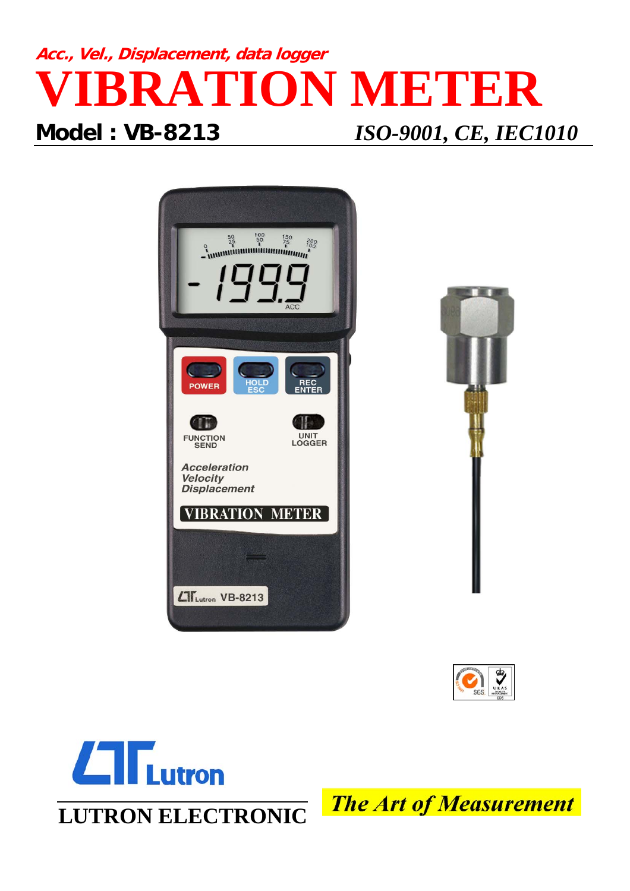## **Acc., Vel., Displacement, data logger RATION METER Model : VB-8213** *ISO-9001, CE, IEC1010*









**LUTRON ELECTRONIC**

**The Art of Measurement**